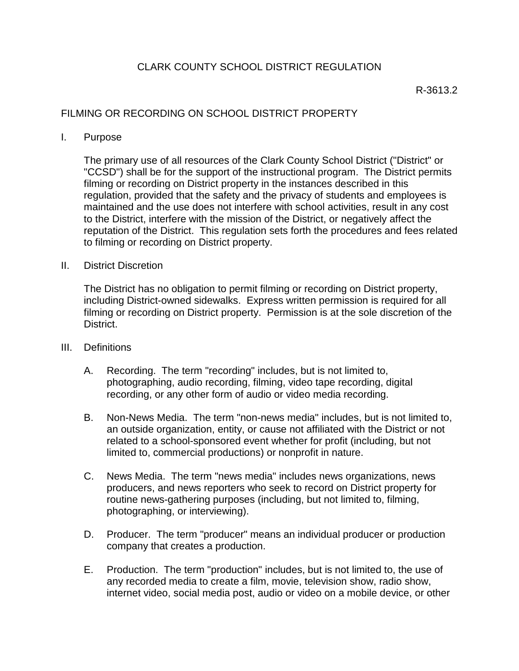## R-3613.2

## FILMING OR RECORDING ON SCHOOL DISTRICT PROPERTY

I. Purpose

The primary use of all resources of the Clark County School District ("District" or "CCSD") shall be for the support of the instructional program. The District permits filming or recording on District property in the instances described in this regulation, provided that the safety and the privacy of students and employees is maintained and the use does not interfere with school activities, result in any cost to the District, interfere with the mission of the District, or negatively affect the reputation of the District. This regulation sets forth the procedures and fees related to filming or recording on District property.

II. District Discretion

The District has no obligation to permit filming or recording on District property, including District-owned sidewalks. Express written permission is required for all filming or recording on District property. Permission is at the sole discretion of the District.

- III. Definitions
	- A. Recording. The term "recording" includes, but is not limited to, photographing, audio recording, filming, video tape recording, digital recording, or any other form of audio or video media recording.
	- B. Non-News Media. The term "non-news media" includes, but is not limited to, an outside organization, entity, or cause not affiliated with the District or not related to a school-sponsored event whether for profit (including, but not limited to, commercial productions) or nonprofit in nature.
	- C. News Media. The term "news media" includes news organizations, news producers, and news reporters who seek to record on District property for routine news-gathering purposes (including, but not limited to, filming, photographing, or interviewing).
	- D. Producer. The term "producer" means an individual producer or production company that creates a production.
	- E. Production. The term "production" includes, but is not limited to, the use of any recorded media to create a film, movie, television show, radio show, internet video, social media post, audio or video on a mobile device, or other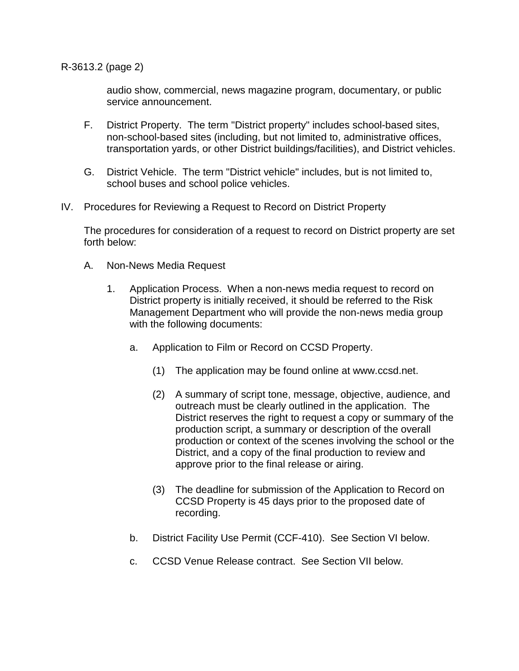R-3613.2 (page 2)

audio show, commercial, news magazine program, documentary, or public service announcement.

- F. District Property. The term "District property" includes school-based sites, non-school-based sites (including, but not limited to, administrative offices, transportation yards, or other District buildings/facilities), and District vehicles.
- G. District Vehicle. The term "District vehicle" includes, but is not limited to, school buses and school police vehicles.
- IV. Procedures for Reviewing a Request to Record on District Property

The procedures for consideration of a request to record on District property are set forth below:

- A. Non-News Media Request
	- 1. Application Process. When a non-news media request to record on District property is initially received, it should be referred to the Risk Management Department who will provide the non-news media group with the following documents:
		- a. Application to Film or Record on CCSD Property.
			- (1) The application may be found online at www.ccsd.net.
			- (2) A summary of script tone, message, objective, audience, and outreach must be clearly outlined in the application. The District reserves the right to request a copy or summary of the production script, a summary or description of the overall production or context of the scenes involving the school or the District, and a copy of the final production to review and approve prior to the final release or airing.
			- (3) The deadline for submission of the Application to Record on CCSD Property is 45 days prior to the proposed date of recording.
		- b. District Facility Use Permit (CCF-410). See Section VI below.
		- c. CCSD Venue Release contract. See Section VII below.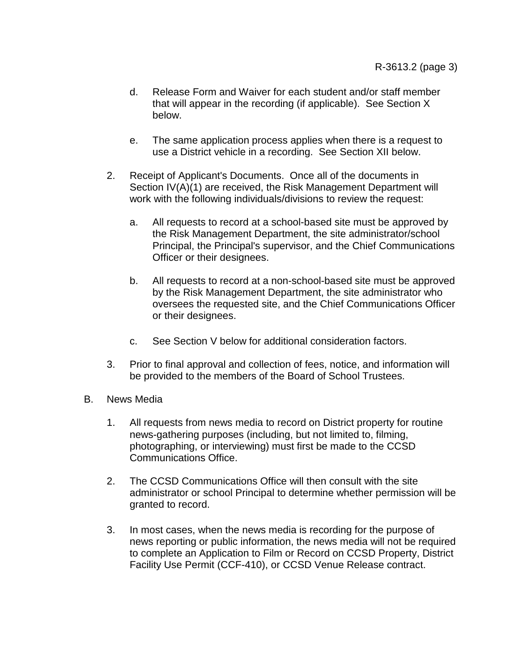- d. Release Form and Waiver for each student and/or staff member that will appear in the recording (if applicable). See Section X below.
- e. The same application process applies when there is a request to use a District vehicle in a recording. See Section XII below.
- 2. Receipt of Applicant's Documents. Once all of the documents in Section IV(A)(1) are received, the Risk Management Department will work with the following individuals/divisions to review the request:
	- a. All requests to record at a school-based site must be approved by the Risk Management Department, the site administrator/school Principal, the Principal's supervisor, and the Chief Communications Officer or their designees.
	- b. All requests to record at a non-school-based site must be approved by the Risk Management Department, the site administrator who oversees the requested site, and the Chief Communications Officer or their designees.
	- c. See Section V below for additional consideration factors.
- 3. Prior to final approval and collection of fees, notice, and information will be provided to the members of the Board of School Trustees.
- B. News Media
	- 1. All requests from news media to record on District property for routine news-gathering purposes (including, but not limited to, filming, photographing, or interviewing) must first be made to the CCSD Communications Office.
	- 2. The CCSD Communications Office will then consult with the site administrator or school Principal to determine whether permission will be granted to record.
	- 3. In most cases, when the news media is recording for the purpose of news reporting or public information, the news media will not be required to complete an Application to Film or Record on CCSD Property, District Facility Use Permit (CCF-410), or CCSD Venue Release contract.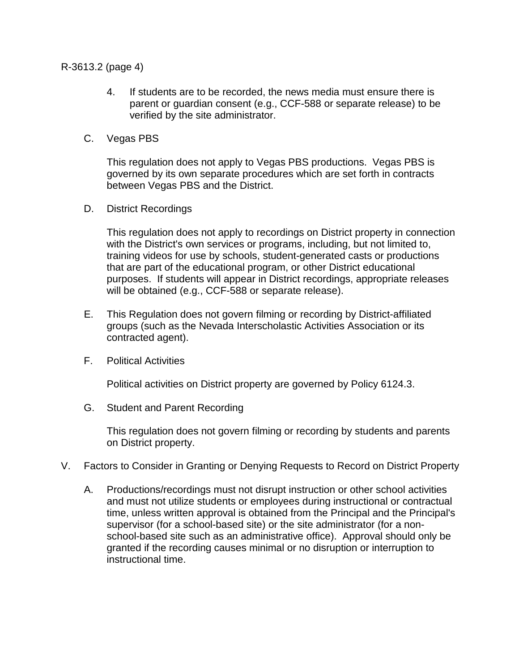R-3613.2 (page 4)

- 4. If students are to be recorded, the news media must ensure there is parent or guardian consent (e.g., CCF-588 or separate release) to be verified by the site administrator.
- C. Vegas PBS

This regulation does not apply to Vegas PBS productions. Vegas PBS is governed by its own separate procedures which are set forth in contracts between Vegas PBS and the District.

D. District Recordings

This regulation does not apply to recordings on District property in connection with the District's own services or programs, including, but not limited to, training videos for use by schools, student-generated casts or productions that are part of the educational program, or other District educational purposes. If students will appear in District recordings, appropriate releases will be obtained (e.g., CCF-588 or separate release).

- E. This Regulation does not govern filming or recording by District-affiliated groups (such as the Nevada Interscholastic Activities Association or its contracted agent).
- F. Political Activities

Political activities on District property are governed by Policy 6124.3.

G. Student and Parent Recording

This regulation does not govern filming or recording by students and parents on District property.

- V. Factors to Consider in Granting or Denying Requests to Record on District Property
	- A. Productions/recordings must not disrupt instruction or other school activities and must not utilize students or employees during instructional or contractual time, unless written approval is obtained from the Principal and the Principal's supervisor (for a school-based site) or the site administrator (for a nonschool-based site such as an administrative office). Approval should only be granted if the recording causes minimal or no disruption or interruption to instructional time.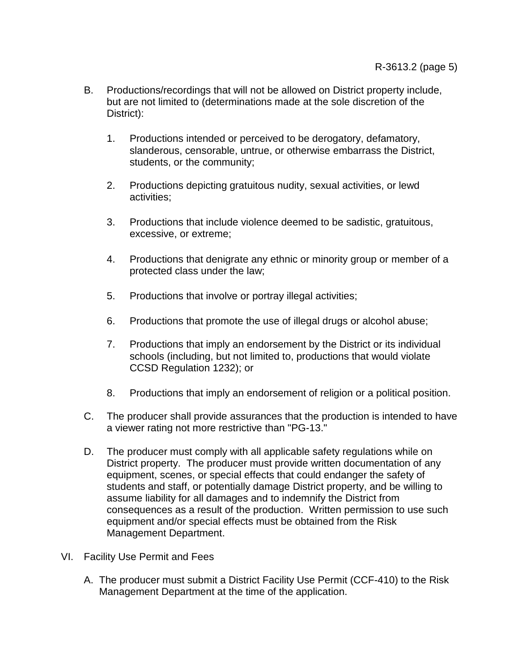- B. Productions/recordings that will not be allowed on District property include, but are not limited to (determinations made at the sole discretion of the District):
	- 1. Productions intended or perceived to be derogatory, defamatory, slanderous, censorable, untrue, or otherwise embarrass the District, students, or the community;
	- 2. Productions depicting gratuitous nudity, sexual activities, or lewd activities;
	- 3. Productions that include violence deemed to be sadistic, gratuitous, excessive, or extreme;
	- 4. Productions that denigrate any ethnic or minority group or member of a protected class under the law;
	- 5. Productions that involve or portray illegal activities;
	- 6. Productions that promote the use of illegal drugs or alcohol abuse;
	- 7. Productions that imply an endorsement by the District or its individual schools (including, but not limited to, productions that would violate CCSD Regulation 1232); or
	- 8. Productions that imply an endorsement of religion or a political position.
- C. The producer shall provide assurances that the production is intended to have a viewer rating not more restrictive than "PG-13."
- D. The producer must comply with all applicable safety regulations while on District property. The producer must provide written documentation of any equipment, scenes, or special effects that could endanger the safety of students and staff, or potentially damage District property, and be willing to assume liability for all damages and to indemnify the District from consequences as a result of the production. Written permission to use such equipment and/or special effects must be obtained from the Risk Management Department.
- VI. Facility Use Permit and Fees
	- A. The producer must submit a District Facility Use Permit (CCF-410) to the Risk Management Department at the time of the application.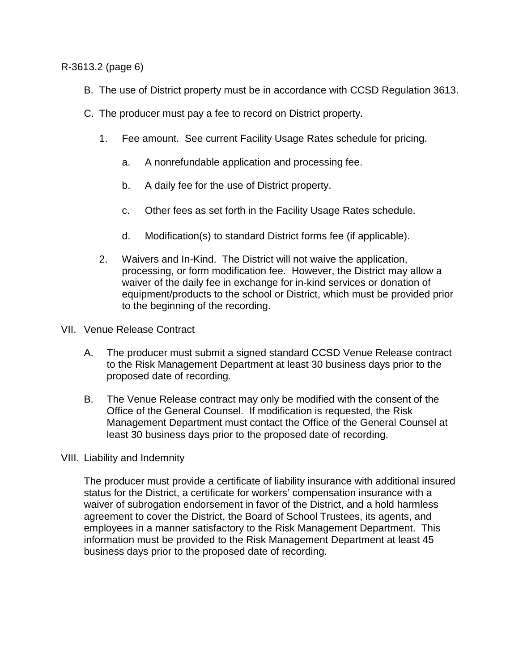R-3613.2 (page 6)

- B. The use of District property must be in accordance with CCSD Regulation 3613.
- C. The producer must pay a fee to record on District property.
	- 1. Fee amount. See current Facility Usage Rates schedule for pricing.
		- a. A nonrefundable application and processing fee.
		- b. A daily fee for the use of District property.
		- c. Other fees as set forth in the Facility Usage Rates schedule.
		- d. Modification(s) to standard District forms fee (if applicable).
	- 2. Waivers and In-Kind. The District will not waive the application, processing, or form modification fee. However, the District may allow a waiver of the daily fee in exchange for in-kind services or donation of equipment/products to the school or District, which must be provided prior to the beginning of the recording.
- VII. Venue Release Contract
	- A. The producer must submit a signed standard CCSD Venue Release contract to the Risk Management Department at least 30 business days prior to the proposed date of recording.
	- B. The Venue Release contract may only be modified with the consent of the Office of the General Counsel. If modification is requested, the Risk Management Department must contact the Office of the General Counsel at least 30 business days prior to the proposed date of recording.
- VIII. Liability and Indemnity

The producer must provide a certificate of liability insurance with additional insured status for the District, a certificate for workers' compensation insurance with a waiver of subrogation endorsement in favor of the District, and a hold harmless agreement to cover the District, the Board of School Trustees, its agents, and employees in a manner satisfactory to the Risk Management Department. This information must be provided to the Risk Management Department at least 45 business days prior to the proposed date of recording.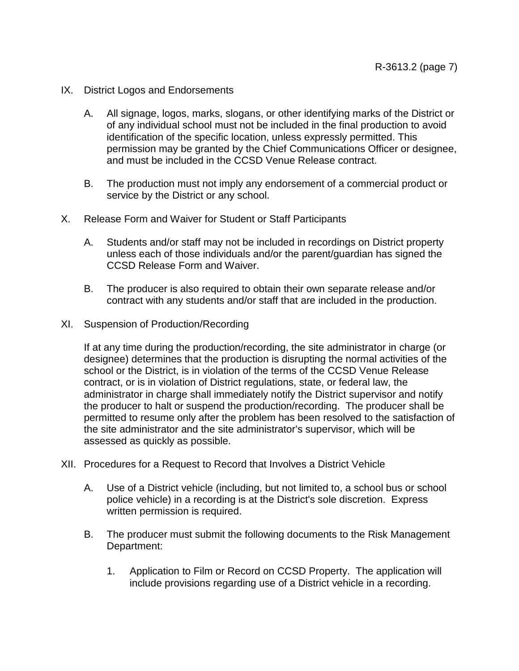- IX. District Logos and Endorsements
	- A. All signage, logos, marks, slogans, or other identifying marks of the District or of any individual school must not be included in the final production to avoid identification of the specific location, unless expressly permitted. This permission may be granted by the Chief Communications Officer or designee, and must be included in the CCSD Venue Release contract.
	- B. The production must not imply any endorsement of a commercial product or service by the District or any school.
- X. Release Form and Waiver for Student or Staff Participants
	- A. Students and/or staff may not be included in recordings on District property unless each of those individuals and/or the parent/guardian has signed the CCSD Release Form and Waiver.
	- B. The producer is also required to obtain their own separate release and/or contract with any students and/or staff that are included in the production.
- XI. Suspension of Production/Recording

If at any time during the production/recording, the site administrator in charge (or designee) determines that the production is disrupting the normal activities of the school or the District, is in violation of the terms of the CCSD Venue Release contract, or is in violation of District regulations, state, or federal law, the administrator in charge shall immediately notify the District supervisor and notify the producer to halt or suspend the production/recording. The producer shall be permitted to resume only after the problem has been resolved to the satisfaction of the site administrator and the site administrator's supervisor, which will be assessed as quickly as possible.

- XII. Procedures for a Request to Record that Involves a District Vehicle
	- A. Use of a District vehicle (including, but not limited to, a school bus or school police vehicle) in a recording is at the District's sole discretion. Express written permission is required.
	- B. The producer must submit the following documents to the Risk Management Department:
		- 1. Application to Film or Record on CCSD Property. The application will include provisions regarding use of a District vehicle in a recording.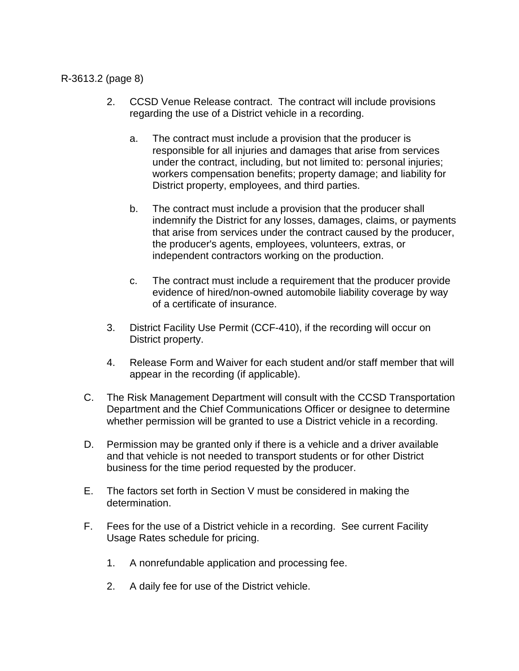## R-3613.2 (page 8)

- 2. CCSD Venue Release contract. The contract will include provisions regarding the use of a District vehicle in a recording.
	- a. The contract must include a provision that the producer is responsible for all injuries and damages that arise from services under the contract, including, but not limited to: personal injuries; workers compensation benefits; property damage; and liability for District property, employees, and third parties.
	- b. The contract must include a provision that the producer shall indemnify the District for any losses, damages, claims, or payments that arise from services under the contract caused by the producer, the producer's agents, employees, volunteers, extras, or independent contractors working on the production.
	- c. The contract must include a requirement that the producer provide evidence of hired/non-owned automobile liability coverage by way of a certificate of insurance.
- 3. District Facility Use Permit (CCF-410), if the recording will occur on District property.
- 4. Release Form and Waiver for each student and/or staff member that will appear in the recording (if applicable).
- C. The Risk Management Department will consult with the CCSD Transportation Department and the Chief Communications Officer or designee to determine whether permission will be granted to use a District vehicle in a recording.
- D. Permission may be granted only if there is a vehicle and a driver available and that vehicle is not needed to transport students or for other District business for the time period requested by the producer.
- E. The factors set forth in Section V must be considered in making the determination.
- F. Fees for the use of a District vehicle in a recording. See current Facility Usage Rates schedule for pricing.
	- 1. A nonrefundable application and processing fee.
	- 2. A daily fee for use of the District vehicle.